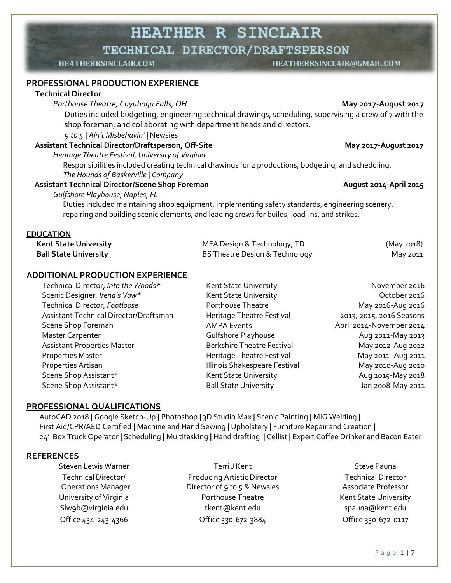**HEATHER R SINCLAIR**

**TECHNICAL DIRECTOR/DRAFTSPERSON**

**HEATHERRSINCLAIR.COM HEATHERRSINCLAIR@GMAIL.COM**

#### **PROFESSIONAL PRODUCTION EXPERIENCE**

#### **Technical Director**

*Porthouse Theatre, Cuyahoga Falls, OH* **May 2017-August 2017**

Duties included budgeting, engineering technical drawings, scheduling, supervising a crew of 7 with the shop foreman, and collaborating with department heads and directors.

#### *9 to 5* **|** *Ain't Misbehavin'* **|** Newsies

#### Assistant Technical Director/Draftsperson, Off-Site May 2017-August 2017

*Heritage Theatre Festival, University of Virginia*

Responsibilities included creating technical drawings for 2 productions, budgeting, and scheduling. *The Hounds of Baskerville* **|** *Company*

#### **Assistant Technical Director/Scene Shop Foreman August 2014-April 2015**

*Gulfshore Playhouse, Naples, FL*

Duties included maintaining shop equipment, implementing safety standards, engineering scenery, repairing and building scenic elements, and leading crews for builds, load-ins, and strikes.

#### **EDUCATION**

| <b>Kent State University</b> | MFA Design & Technology, TD    | (May 2018) |
|------------------------------|--------------------------------|------------|
| <b>Ball State University</b> | BS Theatre Design & Technology | May 2011   |

#### **ADDITIONAL PRODUCTION EXPERIENCE**

| Technical Director, Into the Woods*    | Kent State University             | November 2016            |
|----------------------------------------|-----------------------------------|--------------------------|
| Scenic Designer, Irena's Vow*          | Kent State University             | October 2016             |
| Technical Director, Footloose          | Porthouse Theatre                 | May 2016-Aug 2016        |
| Assistant Technical Director/Draftsman | Heritage Theatre Festival         | 2013, 2015, 2016 Seasons |
| Scene Shop Foreman                     | <b>AMPA Events</b>                | April 2014-November 2014 |
| <b>Master Carpenter</b>                | <b>Gulfshore Playhouse</b>        | Aug 2012-May 2013        |
| <b>Assistant Properties Master</b>     | <b>Berkshire Theatre Festival</b> | May 2012-Aug 2012        |
| <b>Properties Master</b>               | Heritage Theatre Festival         | May 2011- Aug 2011       |
| Properties Artisan                     | Illinois Shakespeare Festival     | May 2010-Aug 2010        |
| Scene Shop Assistant*                  | Kent State University             | Aug 2015-May 2018        |
| Scene Shop Assistant*                  | <b>Ball State University</b>      | Jan 2008-May 2011        |

#### **PROFESSIONAL QUALIFICATIONS**

 AutoCAD 2018 **|** Google Sketch-Up **|** Photoshop **|** 3D Studio Max **|** Scenic Painting **|** MIG Welding **|** First Aid/CPR/AED Certified **|** Machine and Hand Sewing **|** Upholstery **|** Furniture Repair and Creation **|** 24' Box Truck Operator **|** Scheduling **|** Multitasking **|** Hand drafting **|** Cellist **|** Expert Coffee Drinker and Bacon Eater

#### **REFERENCES**

| <b>Steven Lewis Warner</b> | Terri J Kent                       | <b>Steve Pauna</b>     |
|----------------------------|------------------------------------|------------------------|
| <b>Technical Director/</b> | <b>Producing Artistic Director</b> | <b>Technical Direc</b> |
| <b>Operations Manager</b>  | Director of 9 to 5 & Newsies       | Associate Profes       |
| University of Virginia     | Porthouse Theatre                  | Kent State Unive       |
| Slwgb@virginia.edu         | tkent@kent.edu                     | spauna@kent.           |
| Office 434-243-4366        | Office 330-672-3884                | Office 330-672-c       |

Producing Artistic Director Director of 9 to 5 & Newsies Porthouse Theatre **Nightlands** Kent State University tkent@kent.edu spauna@kent.edu Office 330-672-3884 Office 330-672-0117

Technical Director Associate Professor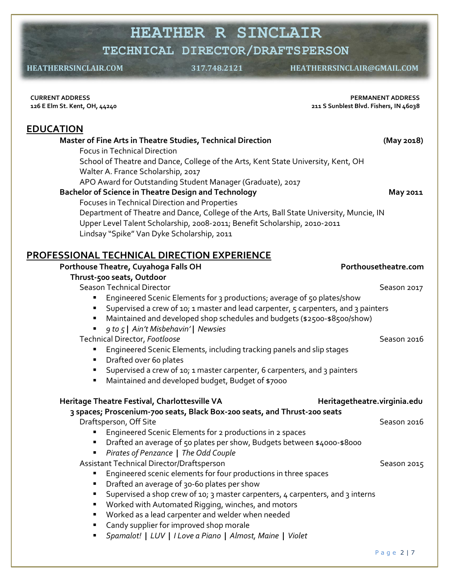# **HEATHER R SINCLAIR**

**TECHNICAL DIRECTOR/DRAFTSPERSON**

 **HEATHERRSINCLAIR.COM 317.748.2121 HEATHERRSINCLAIR@GMAIL.COM**

| <b>CURRENT ADDRESS</b>        |  |  |
|-------------------------------|--|--|
| 126 E Elm St. Kent, OH, 44240 |  |  |

**PERMANENT ADDRESS 211 S Sunblest Blvd. Fishers, IN 46038**

# **EDUCATION**

| Master of Fine Arts in Theatre Studies, Technical Direction                                                                                                    | (May 2018)                   |
|----------------------------------------------------------------------------------------------------------------------------------------------------------------|------------------------------|
| <b>Focus in Technical Direction</b><br>School of Theatre and Dance, College of the Arts, Kent State University, Kent, OH<br>Walter A. France Scholarship, 2017 |                              |
| APO Award for Outstanding Student Manager (Graduate), 2017<br><b>Bachelor of Science in Theatre Design and Technology</b>                                      | May 2011                     |
| Focuses in Technical Direction and Properties                                                                                                                  |                              |
| Department of Theatre and Dance, College of the Arts, Ball State University, Muncie, IN                                                                        |                              |
| Upper Level Talent Scholarship, 2008-2011; Benefit Scholarship, 2010-2011                                                                                      |                              |
| Lindsay "Spike" Van Dyke Scholarship, 2011                                                                                                                     |                              |
| <u>PROFESSIONAL TECHNICAL DIRECTION EXPERIENCE</u>                                                                                                             |                              |
| Porthouse Theatre, Cuyahoga Falls OH                                                                                                                           | Porthousetheatre.com         |
| Thrust-500 seats, Outdoor                                                                                                                                      |                              |
| <b>Season Technical Director</b>                                                                                                                               | Season 2017                  |
| Engineered Scenic Elements for 3 productions; average of 50 plates/show                                                                                        |                              |
| Supervised a crew of 10; 1 master and lead carpenter, 5 carpenters, and 3 painters                                                                             |                              |
| Maintained and developed shop schedules and budgets (\$2500-\$8500/show)<br>п                                                                                  |                              |
| 9 to 5   Ain't Misbehavin'   Newsies<br>٠                                                                                                                      |                              |
| Technical Director, Footloose                                                                                                                                  | Season 2016                  |
| Engineered Scenic Elements, including tracking panels and slip stages                                                                                          |                              |
| Drafted over 60 plates<br>٠                                                                                                                                    |                              |
| Supervised a crew of 10; 1 master carpenter, 6 carpenters, and 3 painters<br>٠                                                                                 |                              |
| Maintained and developed budget, Budget of \$7000                                                                                                              |                              |
| Heritage Theatre Festival, Charlottesville VA                                                                                                                  | Heritagetheatre.virginia.edu |
| 3 spaces; Proscenium-700 seats, Black Box-200 seats, and Thrust-200 seats                                                                                      |                              |
| Draftsperson, Off Site                                                                                                                                         | Season 2016                  |
| Engineered Scenic Elements for 2 productions in 2 spaces                                                                                                       |                              |
| Drafted an average of 50 plates per show, Budgets between \$4000-\$8000<br>٠                                                                                   |                              |
| Pirates of Penzance   The Odd Couple                                                                                                                           |                              |
| Assistant Technical Director/Draftsperson                                                                                                                      | Season 2015                  |
| Engineered scenic elements for four productions in three spaces<br>٠                                                                                           |                              |
| Drafted an average of 30-60 plates per show                                                                                                                    |                              |
| Supervised a shop crew of 10; 3 master carpenters, 4 carpenters, and 3 interns                                                                                 |                              |
| Worked with Automated Rigging, winches, and motors<br>٠<br>п                                                                                                   |                              |
| Worked as a lead carpenter and welder when needed<br>Candy supplier for improved shop morale                                                                   |                              |
| Spamalot!   LUV   I Love a Piano   Almost, Maine   Violet<br>٠                                                                                                 |                              |
|                                                                                                                                                                |                              |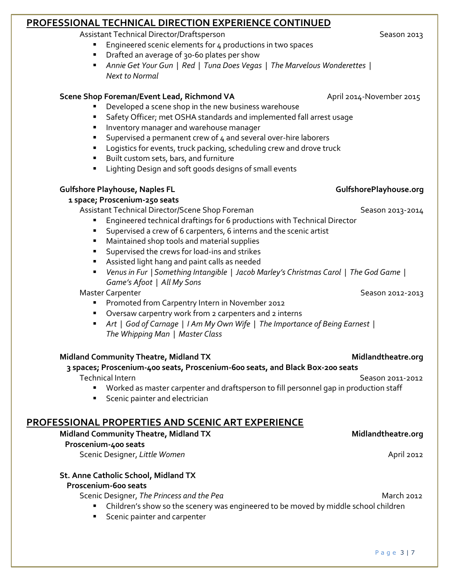# **PROFESSIONAL TECHNICAL DIRECTION EXPERIENCE CONTINUED**

Assistant Technical Director/Draftsperson Season 2013

- Engineered scenic elements for 4 productions in two spaces
- Drafted an average of 30-60 plates per show
- *Annie Get Your Gun | Red | Tuna Does Vegas | The Marvelous Wonderettes | Next to Normal*

# **Scene Shop Foreman/Event Lead, Richmond VA ADDIG April 2014-November 2015**

- Developed a scene shop in the new business warehouse
- Safety Officer; met OSHA standards and implemented fall arrest usage
- **■** Inventory manager and warehouse manager
- Supervised a permanent crew of 4 and several over-hire laborers
- Logistics for events, truck packing, scheduling crew and drove truck
- Built custom sets, bars, and furniture
- Lighting Design and soft goods designs of small events

# **Gulfshore Playhouse, Naples FL GulfshorePlayhouse.org**

# **1 space; Proscenium-250 seats**

Assistant Technical Director/Scene Shop Foreman **by Season 2013-2014** 

- Engineered technical draftings for 6 productions with Technical Director
- Supervised a crew of 6 carpenters, 6 interns and the scenic artist
- Maintained shop tools and material supplies
- Supervised the crews for load-ins and strikes
- Assisted light hang and paint calls as needed
- *Venus in Fur | Something Intangible | Jacob Marley's Christmas Carol | The God Game | Game's Afoot | All My Sons*

# Master Carpenter National According to the Season 2012-2013

- Promoted from Carpentry Intern in November 2012
- Oversaw carpentry work from 2 carpenters and 2 interns
- *Art | God of Carnage | I Am My Own Wife | The Importance of Being Earnest | The Whipping Man | Master Class*

# **Midland Community Theatre, Midland TX Midland TX Midlandtheatre.org**

 **3 spaces; Proscenium-400 seats, Proscenium-600 seats, and Black Box-200 seats** Technical Intern Season 2011-2012

- Worked as master carpenter and draftsperson to fill personnel gap in production staff
- Scenic painter and electrician

# **PROFESSIONAL PROPERTIES AND SCENIC ART EXPERIENCE**

# Midland Community Theatre, Midland TX and the state of the Midlandtheatre.org

## **Proscenium-400 seats**

Scenic Designer, *Little Women* April 2012

# **St. Anne Catholic School, Midland TX**

# **Proscenium-600 seats**

Scenic Designer, *The Princess and the Pea* March 2012 **March 2012** 

- Children's show so the scenery was engineered to be moved by middle school children
- **EXEC** Scenic painter and carpenter

# P a g e 3 | 7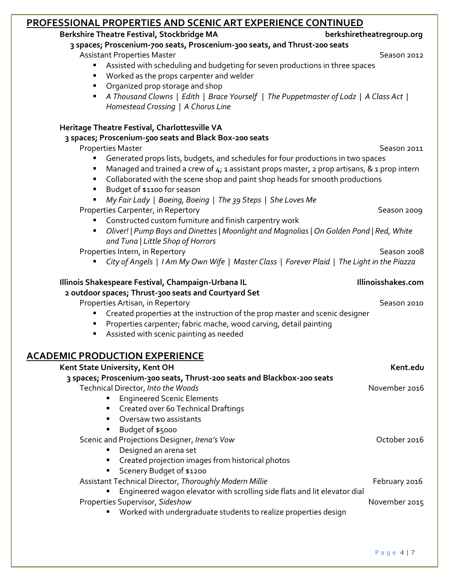| <u>PROFESSIONAL PROPERTIES AND SCENIC ART EXPERIENCE CONTINUED</u>                                                |                           |
|-------------------------------------------------------------------------------------------------------------------|---------------------------|
| Berkshire Theatre Festival, Stockbridge MA                                                                        | berkshiretheatregroup.org |
| 3 spaces; Proscenium-700 seats, Proscenium-300 seats, and Thrust-200 seats                                        |                           |
| <b>Assistant Properties Master</b>                                                                                | Season 2012               |
| Assisted with scheduling and budgeting for seven productions in three spaces                                      |                           |
| " Worked as the props carpenter and welder                                                                        |                           |
| • Organized prop storage and shop                                                                                 |                           |
| A Thousand Clowns   Edith   Brace Yourself   The Puppetmaster of Lodz   A Class Act  <br>٠                        |                           |
| Homestead Crossing   A Chorus Line                                                                                |                           |
| Heritage Theatre Festival, Charlottesville VA                                                                     |                           |
| 3 spaces; Proscenium-500 seats and Black Box-200 seats                                                            |                           |
| <b>Properties Master</b>                                                                                          | Season 2011               |
| Generated props lists, budgets, and schedules for four productions in two spaces<br>٠                             |                           |
| Managed and trained a crew of 4; 1 assistant props master, 2 prop artisans, & 1 prop intern<br>п                  |                           |
| • Collaborated with the scene shop and paint shop heads for smooth productions                                    |                           |
| Budget of \$1100 for season                                                                                       |                           |
| My Fair Lady   Boeing, Boeing   The 39 Steps   She Loves Me                                                       |                           |
|                                                                                                                   |                           |
| Properties Carpenter, in Repertory                                                                                | Season 2009               |
| Constructed custom furniture and finish carpentry work<br>٠                                                       |                           |
| • Oliver!   Pump Boys and Dinettes   Moonlight and Magnolias   On Golden Pond   Red, White                        |                           |
| and Tuna   Little Shop of Horrors                                                                                 |                           |
| Properties Intern, in Repertory                                                                                   | Season 2008               |
| City of Angels   I Am My Own Wife   Master Class   Forever Plaid   The Light in the Piazza                        |                           |
| Illinois Shakespeare Festival, Champaign-Urbana IL                                                                |                           |
|                                                                                                                   | Illinoisshakes.com        |
| 2 outdoor spaces; Thrust-300 seats and Courtyard Set                                                              |                           |
|                                                                                                                   | Season 2010               |
| Properties Artisan, in Repertory<br>٠                                                                             |                           |
| Created properties at the instruction of the prop master and scenic designer                                      |                           |
| Properties carpenter; fabric mache, wood carving, detail painting<br>Assisted with scenic painting as needed<br>٠ |                           |
|                                                                                                                   |                           |
| <b>ACADEMIC PRODUCTION EXPERIENCE</b>                                                                             |                           |
| Kent State University, Kent OH                                                                                    | Kent.edu                  |
| 3 spaces; Proscenium-300 seats, Thrust-200 seats and Blackbox-200 seats                                           |                           |
| Technical Director, Into the Woods                                                                                | November 2016             |
| <b>Engineered Scenic Elements</b>                                                                                 |                           |
| Created over 60 Technical Draftings                                                                               |                           |
| • Oversaw two assistants                                                                                          |                           |
| Budget of \$5000                                                                                                  |                           |
| Scenic and Projections Designer, Irena's Vow                                                                      | October 2016              |
| Designed an arena set                                                                                             |                           |
| " Created projection images from historical photos                                                                |                           |
| Scenery Budget of \$1200                                                                                          |                           |
| Assistant Technical Director, Thoroughly Modern Millie                                                            | February 2016             |
| Engineered wagon elevator with scrolling side flats and lit elevator dial                                         |                           |
| Properties Supervisor, Sideshow                                                                                   | November 2015             |
| Worked with undergraduate students to realize properties design                                                   |                           |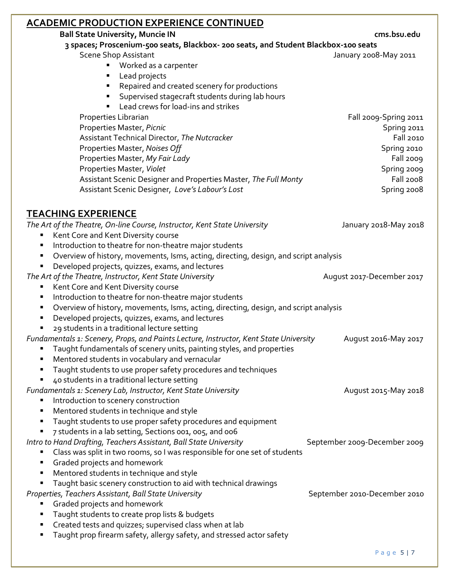| <b>ACADEMIC PRODUCTION EXPERIENCE CONTINUED</b>                                           |                              |
|-------------------------------------------------------------------------------------------|------------------------------|
| <b>Ball State University, Muncie IN</b>                                                   | cms.bsu.edu                  |
| 3 spaces; Proscenium-500 seats, Blackbox- 200 seats, and Student Blackbox-100 seats       |                              |
| <b>Scene Shop Assistant</b>                                                               | January 2008-May 2011        |
| Worked as a carpenter                                                                     |                              |
| Lead projects                                                                             |                              |
| Repaired and created scenery for productions<br>٠                                         |                              |
| Supervised stagecraft students during lab hours<br>٠                                      |                              |
| Lead crews for load-ins and strikes                                                       |                              |
| Properties Librarian                                                                      | Fall 2009-Spring 2011        |
| Properties Master, Picnic                                                                 | Spring 2011                  |
| Assistant Technical Director, The Nutcracker                                              | <b>Fall 2010</b>             |
| Properties Master, Noises Off                                                             | Spring 2010                  |
| Properties Master, My Fair Lady                                                           | Fall 2009                    |
| Properties Master, Violet                                                                 | Spring 2009                  |
| Assistant Scenic Designer and Properties Master, The Full Monty                           | Fall 2008                    |
| Assistant Scenic Designer, Love's Labour's Lost                                           | Spring 2008                  |
|                                                                                           |                              |
|                                                                                           |                              |
| <b>TEACHING EXPERIENCE</b>                                                                |                              |
| The Art of the Theatre, On-line Course, Instructor, Kent State University                 | January 2018-May 2018        |
| Kent Core and Kent Diversity course<br>٠                                                  |                              |
| Introduction to theatre for non-theatre major students<br>٠                               |                              |
| Overview of history, movements, Isms, acting, directing, design, and script analysis<br>٠ |                              |
| Developed projects, quizzes, exams, and lectures<br>Ξ                                     |                              |
| The Art of the Theatre, Instructor, Kent State University                                 | August 2017-December 2017    |
| Kent Core and Kent Diversity course<br>٠                                                  |                              |
| Introduction to theatre for non-theatre major students<br>٠                               |                              |
| Overview of history, movements, Isms, acting, directing, design, and script analysis<br>٠ |                              |
| Developed projects, quizzes, exams, and lectures<br>٠                                     |                              |
| 29 students in a traditional lecture setting                                              |                              |
| Fundamentals 1: Scenery, Props, and Paints Lecture, Instructor, Kent State University     | August 2016-May 2017         |
| Taught fundamentals of scenery units, painting styles, and properties<br>٠                |                              |
| Mentored students in vocabulary and vernacular                                            |                              |
| Taught students to use proper safety procedures and techniques<br>٠                       |                              |
| 40 students in a traditional lecture setting<br>٠                                         |                              |
| Fundamentals 1: Scenery Lab, Instructor, Kent State University                            | August 2015-May 2018         |
| Introduction to scenery construction<br>п                                                 |                              |
| Mentored students in technique and style<br>٠                                             |                              |
| Taught students to use proper safety procedures and equipment<br>п                        |                              |
| 7 students in a lab setting, Sections 001, 005, and 006                                   |                              |
| Intro to Hand Drafting, Teachers Assistant, Ball State University                         | September 2009-December 2009 |
| Class was split in two rooms, so I was responsible for one set of students<br>п           |                              |
| Graded projects and homework<br>٠                                                         |                              |
| Mentored students in technique and style<br>٠                                             |                              |
| Taught basic scenery construction to aid with technical drawings<br>٠                     |                              |
| Properties, Teachers Assistant, Ball State University                                     | September 2010-December 2010 |
| Graded projects and homework                                                              |                              |
| Taught students to create prop lists & budgets<br>٠                                       |                              |
| Created tests and quizzes; supervised class when at lab<br>٠                              |                              |
| Taught prop firearm safety, allergy safety, and stressed actor safety<br>п                |                              |
|                                                                                           |                              |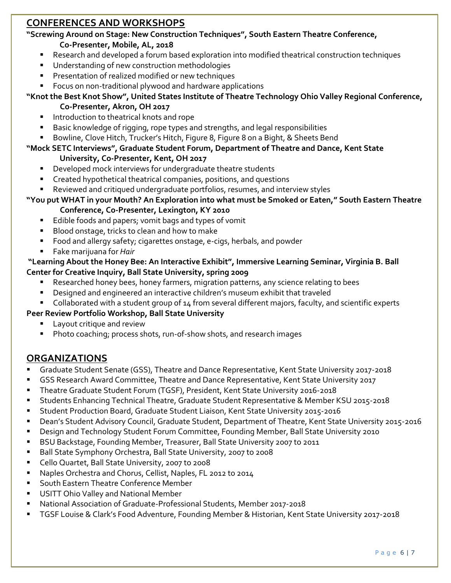# **CONFERENCES AND WORKSHOPS**

#### **"Screwing Around on Stage: New Construction Techniques", South Eastern Theatre Conference, Co-Presenter, Mobile, AL, 2018**

- Research and developed a forum based exploration into modified theatrical construction techniques
- Understanding of new construction methodologies
- Presentation of realized modified or new techniques
- Focus on non-traditional plywood and hardware applications
- **"Knot the Best Knot Show", United States Institute of Theatre Technology Ohio Valley Regional Conference, Co-Presenter, Akron, OH 2017**
	- Introduction to theatrical knots and rope
	- Basic knowledge of rigging, rope types and strengths, and legal responsibilities
	- Bowline, Clove Hitch, Trucker's Hitch, Figure 8, Figure 8 on a Bight, & Sheets Bend

#### **"Mock SETC Interviews", Graduate Student Forum, Department of Theatre and Dance, Kent State University, Co-Presenter, Kent, OH 2017**

- Developed mock interviews for undergraduate theatre students
- Created hypothetical theatrical companies, positions, and questions
- Reviewed and critiqued undergraduate portfolios, resumes, and interview styles

#### **"You put WHAT in your Mouth? An Exploration into what must be Smoked or Eaten," South Eastern Theatre**

#### **Conference, Co-Presenter, Lexington, KY 2010**

- Edible foods and papers; vomit bags and types of vomit
- Blood onstage, tricks to clean and how to make
- Food and allergy safety; cigarettes onstage, e-cigs, herbals, and powder
- Fake marijuana for *Hair*

#### **"Learning About the Honey Bee: An Interactive Exhibit", Immersive Learning Seminar, Virginia B. Ball Center for Creative Inquiry, Ball State University, spring 2009**

- Researched honey bees, honey farmers, migration patterns, any science relating to bees
- Designed and engineered an interactive children's museum exhibit that traveled
- Collaborated with a student group of 14 from several different majors, faculty, and scientific experts

#### **Peer Review Portfolio Workshop, Ball State University**

- Layout critique and review
- Photo coaching; process shots, run-of-show shots, and research images

## **ORGANIZATIONS**

- Graduate Student Senate (GSS), Theatre and Dance Representative, Kent State University 2017-2018
- GSS Research Award Committee, Theatre and Dance Representative, Kent State University 2017
- Theatre Graduate Student Forum (TGSF), President, Kent State University 2016-2018
- Students Enhancing Technical Theatre, Graduate Student Representative & Member KSU 2015-2018
- Student Production Board, Graduate Student Liaison, Kent State University 2015-2016
- Dean's Student Advisory Council, Graduate Student, Department of Theatre, Kent State University 2015-2016
- Design and Technology Student Forum Committee, Founding Member, Ball State University 2010
- BSU Backstage, Founding Member, Treasurer, Ball State University 2007 to 2011
- Ball State Symphony Orchestra, Ball State University, 2007 to 2008
- Cello Quartet, Ball State University, 2007 to 2008
- Naples Orchestra and Chorus, Cellist, Naples, FL 2012 to 2014
- South Eastern Theatre Conference Member
- USITT Ohio Valley and National Member
- National Association of Graduate-Professional Students, Member 2017-2018
- TGSF Louise & Clark's Food Adventure, Founding Member & Historian, Kent State University 2017-2018